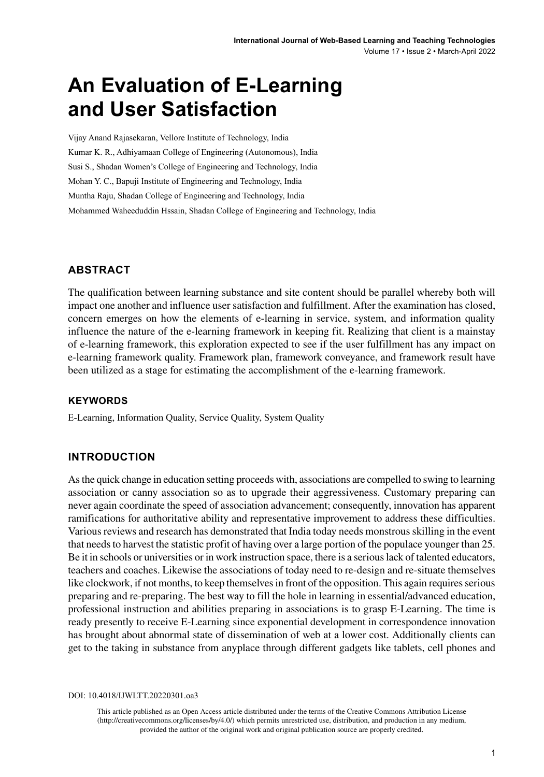# **An Evaluation of E-Learning and User Satisfaction**

Vijay Anand Rajasekaran, Vellore Institute of Technology, India Kumar K. R., Adhiyamaan College of Engineering (Autonomous), India Susi S., Shadan Women's College of Engineering and Technology, India Mohan Y. C., Bapuji Institute of Engineering and Technology, India Muntha Raju, Shadan College of Engineering and Technology, India Mohammed Waheeduddin Hssain, Shadan College of Engineering and Technology, India

### **ABSTRACT**

The qualification between learning substance and site content should be parallel whereby both will impact one another and influence user satisfaction and fulfillment. After the examination has closed, concern emerges on how the elements of e-learning in service, system, and information quality influence the nature of the e-learning framework in keeping fit. Realizing that client is a mainstay of e-learning framework, this exploration expected to see if the user fulfillment has any impact on e-learning framework quality. Framework plan, framework conveyance, and framework result have been utilized as a stage for estimating the accomplishment of the e-learning framework.

#### **Keywords**

E-Learning, Information Quality, Service Quality, System Quality

### **INTRODUCTION**

As the quick change in education setting proceeds with, associations are compelled to swing to learning association or canny association so as to upgrade their aggressiveness. Customary preparing can never again coordinate the speed of association advancement; consequently, innovation has apparent ramifications for authoritative ability and representative improvement to address these difficulties. Various reviews and research has demonstrated that India today needs monstrous skilling in the event that needs to harvest the statistic profit of having over a large portion of the populace younger than 25. Be it in schools or universities or in work instruction space, there is a serious lack of talented educators, teachers and coaches. Likewise the associations of today need to re-design and re-situate themselves like clockwork, if not months, to keep themselves in front of the opposition. This again requires serious preparing and re-preparing. The best way to fill the hole in learning in essential/advanced education, professional instruction and abilities preparing in associations is to grasp E-Learning. The time is ready presently to receive E-Learning since exponential development in correspondence innovation has brought about abnormal state of dissemination of web at a lower cost. Additionally clients can get to the taking in substance from anyplace through different gadgets like tablets, cell phones and

DOI: 10.4018/IJWLTT.20220301.oa3

This article published as an Open Access article distributed under the terms of the Creative Commons Attribution License (http://creativecommons.org/licenses/by/4.0/) which permits unrestricted use, distribution, and production in any medium, provided the author of the original work and original publication source are properly credited.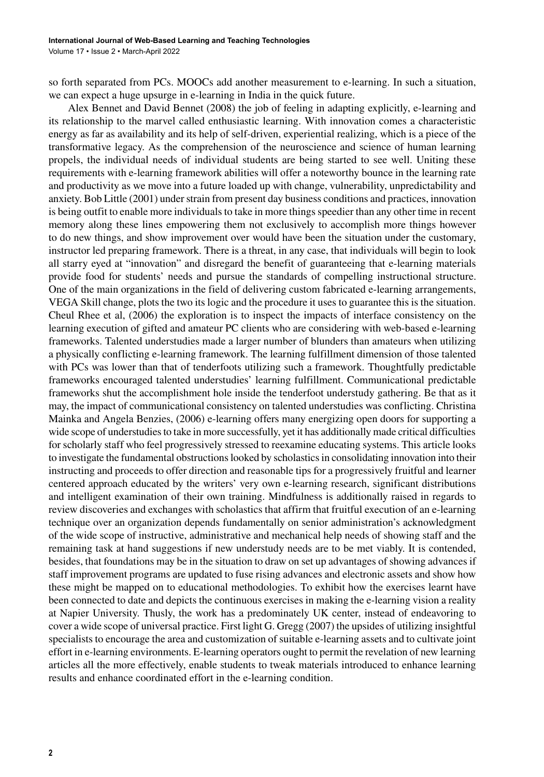so forth separated from PCs. MOOCs add another measurement to e-learning. In such a situation, we can expect a huge upsurge in e-learning in India in the quick future.

Alex Bennet and David Bennet (2008) the job of feeling in adapting explicitly, e-learning and its relationship to the marvel called enthusiastic learning. With innovation comes a characteristic energy as far as availability and its help of self-driven, experiential realizing, which is a piece of the transformative legacy. As the comprehension of the neuroscience and science of human learning propels, the individual needs of individual students are being started to see well. Uniting these requirements with e-learning framework abilities will offer a noteworthy bounce in the learning rate and productivity as we move into a future loaded up with change, vulnerability, unpredictability and anxiety. Bob Little (2001) under strain from present day business conditions and practices, innovation is being outfit to enable more individuals to take in more things speedier than any other time in recent memory along these lines empowering them not exclusively to accomplish more things however to do new things, and show improvement over would have been the situation under the customary, instructor led preparing framework. There is a threat, in any case, that individuals will begin to look all starry eyed at "innovation" and disregard the benefit of guaranteeing that e-learning materials provide food for students' needs and pursue the standards of compelling instructional structure. One of the main organizations in the field of delivering custom fabricated e-learning arrangements, VEGA Skill change, plots the two its logic and the procedure it uses to guarantee this is the situation. Cheul Rhee et al, (2006) the exploration is to inspect the impacts of interface consistency on the learning execution of gifted and amateur PC clients who are considering with web-based e-learning frameworks. Talented understudies made a larger number of blunders than amateurs when utilizing a physically conflicting e-learning framework. The learning fulfillment dimension of those talented with PCs was lower than that of tenderfoots utilizing such a framework. Thoughtfully predictable frameworks encouraged talented understudies' learning fulfillment. Communicational predictable frameworks shut the accomplishment hole inside the tenderfoot understudy gathering. Be that as it may, the impact of communicational consistency on talented understudies was conflicting. Christina Mainka and Angela Benzies, (2006) e-learning offers many energizing open doors for supporting a wide scope of understudies to take in more successfully, yet it has additionally made critical difficulties for scholarly staff who feel progressively stressed to reexamine educating systems. This article looks to investigate the fundamental obstructions looked by scholastics in consolidating innovation into their instructing and proceeds to offer direction and reasonable tips for a progressively fruitful and learner centered approach educated by the writers' very own e-learning research, significant distributions and intelligent examination of their own training. Mindfulness is additionally raised in regards to review discoveries and exchanges with scholastics that affirm that fruitful execution of an e-learning technique over an organization depends fundamentally on senior administration's acknowledgment of the wide scope of instructive, administrative and mechanical help needs of showing staff and the remaining task at hand suggestions if new understudy needs are to be met viably. It is contended, besides, that foundations may be in the situation to draw on set up advantages of showing advances if staff improvement programs are updated to fuse rising advances and electronic assets and show how these might be mapped on to educational methodologies. To exhibit how the exercises learnt have been connected to date and depicts the continuous exercises in making the e-learning vision a reality at Napier University. Thusly, the work has a predominately UK center, instead of endeavoring to cover a wide scope of universal practice. First light G. Gregg (2007) the upsides of utilizing insightful specialists to encourage the area and customization of suitable e-learning assets and to cultivate joint effort in e-learning environments. E-learning operators ought to permit the revelation of new learning articles all the more effectively, enable students to tweak materials introduced to enhance learning results and enhance coordinated effort in the e-learning condition.